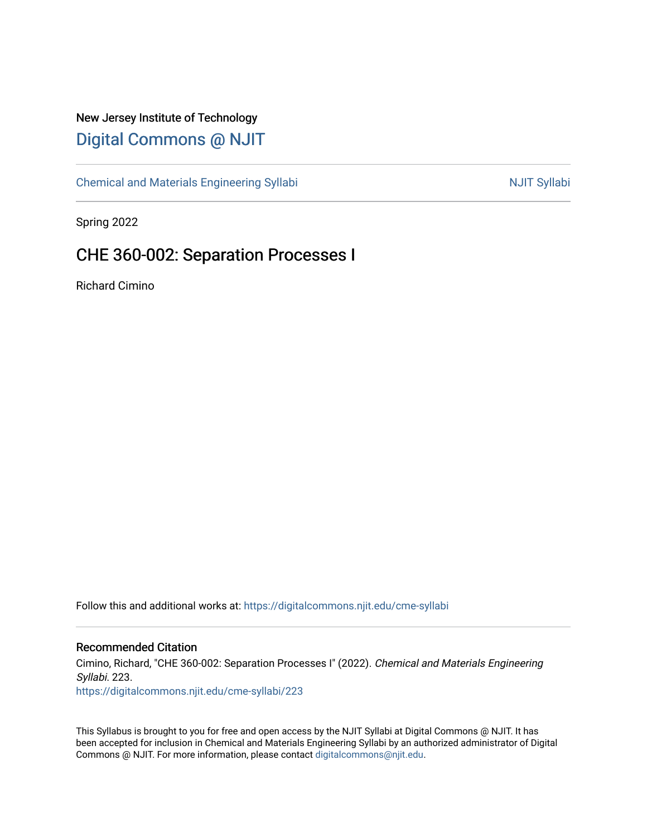### New Jersey Institute of Technology [Digital Commons @ NJIT](https://digitalcommons.njit.edu/)

[Chemical and Materials Engineering Syllabi](https://digitalcommons.njit.edu/cme-syllabi) Nulle and Syllabi Nulle Syllabi Nulle Syllabi Nulle Syllabi Nulle Syllabi

Spring 2022

### CHE 360-002: Separation Processes I

Richard Cimino

Follow this and additional works at: [https://digitalcommons.njit.edu/cme-syllabi](https://digitalcommons.njit.edu/cme-syllabi?utm_source=digitalcommons.njit.edu%2Fcme-syllabi%2F223&utm_medium=PDF&utm_campaign=PDFCoverPages) 

#### Recommended Citation

Cimino, Richard, "CHE 360-002: Separation Processes I" (2022). Chemical and Materials Engineering Syllabi. 223.

[https://digitalcommons.njit.edu/cme-syllabi/223](https://digitalcommons.njit.edu/cme-syllabi/223?utm_source=digitalcommons.njit.edu%2Fcme-syllabi%2F223&utm_medium=PDF&utm_campaign=PDFCoverPages) 

This Syllabus is brought to you for free and open access by the NJIT Syllabi at Digital Commons @ NJIT. It has been accepted for inclusion in Chemical and Materials Engineering Syllabi by an authorized administrator of Digital Commons @ NJIT. For more information, please contact [digitalcommons@njit.edu.](mailto:digitalcommons@njit.edu)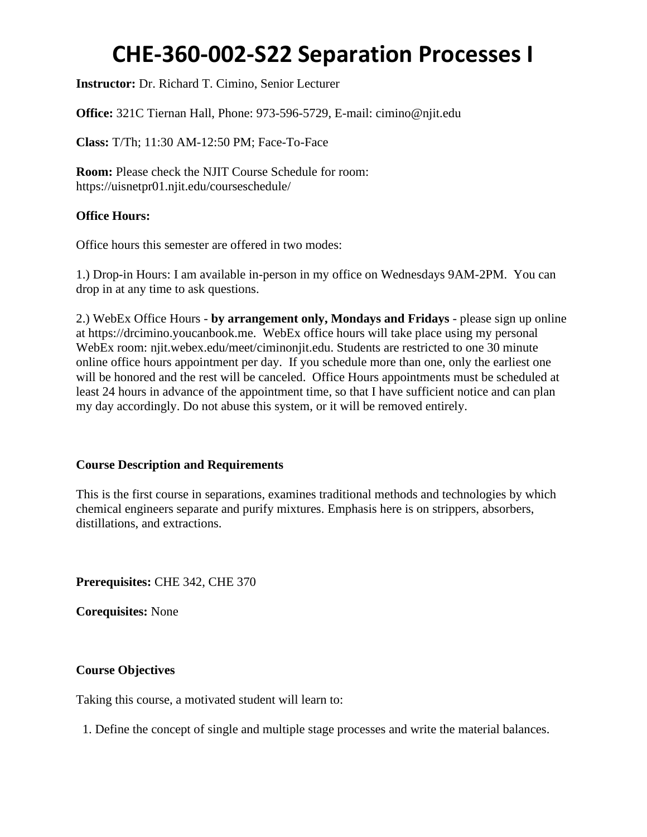**Instructor:** Dr. Richard T. Cimino, Senior Lecturer

**Office:** 321C Tiernan Hall, Phone: 973-596-5729, E-mail: cimino@njit.edu

**Class:** T/Th; 11:30 AM-12:50 PM; Face-To-Face

**Room:** Please check the NJIT Course Schedule for room: https://uisnetpr01.njit.edu/courseschedule/

### **Office Hours:**

Office hours this semester are offered in two modes:

1.) Drop-in Hours: I am available in-person in my office on Wednesdays 9AM-2PM. You can drop in at any time to ask questions.

2.) WebEx Office Hours - **by arrangement only, Mondays and Fridays** - please sign up online at https://drcimino.youcanbook.me. WebEx office hours will take place using my personal WebEx room: njit.webex.edu/meet/ciminonjit.edu. Students are restricted to one 30 minute online office hours appointment per day. If you schedule more than one, only the earliest one will be honored and the rest will be canceled. Office Hours appointments must be scheduled at least 24 hours in advance of the appointment time, so that I have sufficient notice and can plan my day accordingly. Do not abuse this system, or it will be removed entirely.

### **Course Description and Requirements**

This is the first course in separations, examines traditional methods and technologies by which chemical engineers separate and purify mixtures. Emphasis here is on strippers, absorbers, distillations, and extractions.

**Prerequisites:** CHE 342, CHE 370

**Corequisites:** None

### **Course Objectives**

Taking this course, a motivated student will learn to:

1. Define the concept of single and multiple stage processes and write the material balances.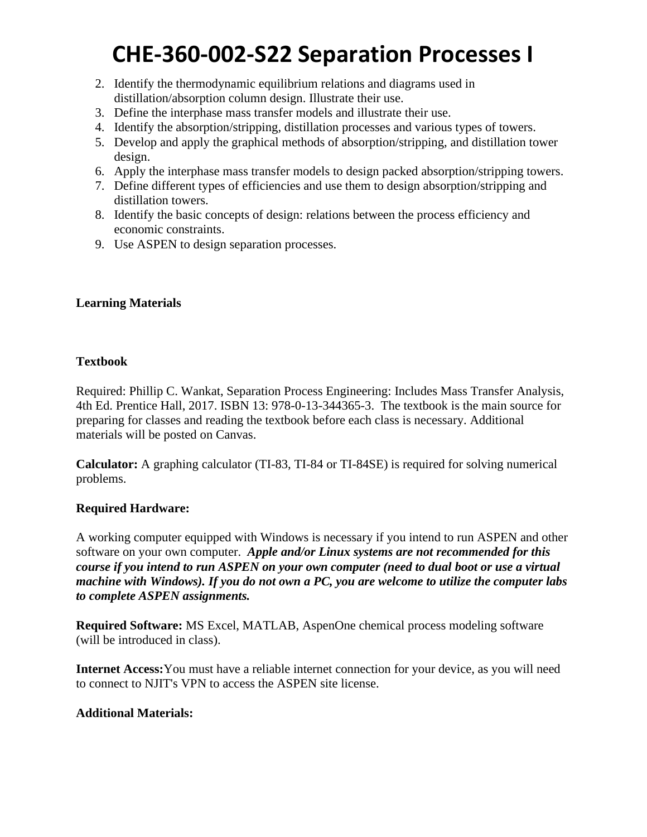- 2. Identify the thermodynamic equilibrium relations and diagrams used in distillation/absorption column design. Illustrate their use.
- 3. Define the interphase mass transfer models and illustrate their use.
- 4. Identify the absorption/stripping, distillation processes and various types of towers.
- 5. Develop and apply the graphical methods of absorption/stripping, and distillation tower design.
- 6. Apply the interphase mass transfer models to design packed absorption/stripping towers.
- 7. Define different types of efficiencies and use them to design absorption/stripping and distillation towers.
- 8. Identify the basic concepts of design: relations between the process efficiency and economic constraints.
- 9. Use ASPEN to design separation processes.

### **Learning Materials**

### **Textbook**

Required: Phillip C. Wankat, Separation Process Engineering: Includes Mass Transfer Analysis, 4th Ed. Prentice Hall, 2017. ISBN 13: 978-0-13-344365-3. The textbook is the main source for preparing for classes and reading the textbook before each class is necessary. Additional materials will be posted on Canvas.

**Calculator:** A graphing calculator (TI-83, TI-84 or TI-84SE) is required for solving numerical problems.

### **Required Hardware:**

A working computer equipped with Windows is necessary if you intend to run ASPEN and other software on your own computer. *Apple and/or Linux systems are not recommended for this course if you intend to run ASPEN on your own computer (need to dual boot or use a virtual machine with Windows). If you do not own a PC, you are welcome to utilize the computer labs to complete ASPEN assignments.*

**Required Software:** MS Excel, MATLAB, AspenOne chemical process modeling software (will be introduced in class).

**Internet Access:**You must have a reliable internet connection for your device, as you will need to connect to NJIT's VPN to access the ASPEN site license.

### **Additional Materials:**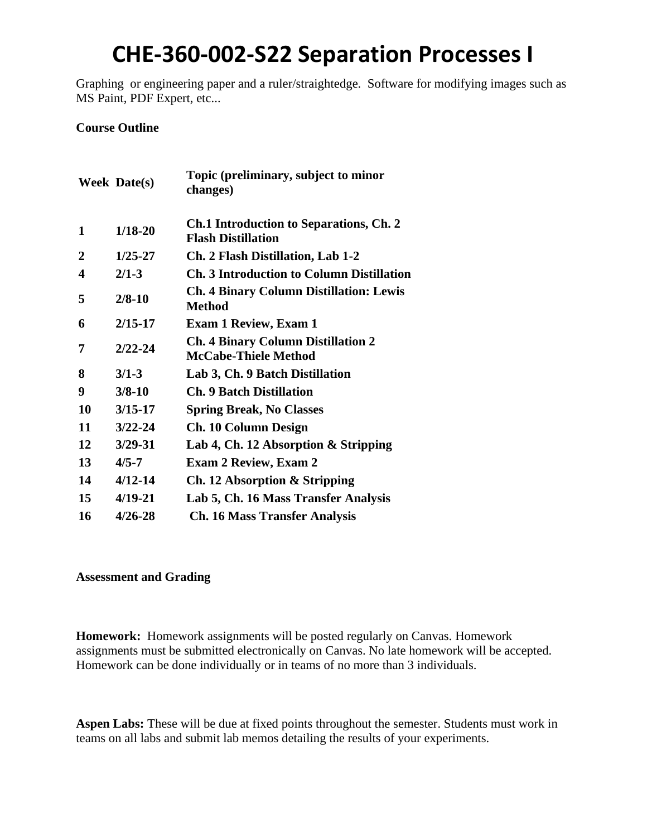Graphing or engineering paper and a ruler/straightedge. Software for modifying images such as MS Paint, PDF Expert, etc...

### **Course Outline**

|    | <b>Week Date(s)</b> | Topic (preliminary, subject to minor<br>changes)                         |
|----|---------------------|--------------------------------------------------------------------------|
| 1  | $1/18 - 20$         | Ch.1 Introduction to Separations, Ch. 2<br><b>Flash Distillation</b>     |
| 2  | $1/25 - 27$         | Ch. 2 Flash Distillation, Lab 1-2                                        |
| 4  | $2/1 - 3$           | <b>Ch. 3 Introduction to Column Distillation</b>                         |
| 5  | $2/8 - 10$          | <b>Ch. 4 Binary Column Distillation: Lewis</b><br>Method                 |
| 6  | $2/15 - 17$         | <b>Exam 1 Review, Exam 1</b>                                             |
| 7  | $2/22 - 24$         | <b>Ch. 4 Binary Column Distillation 2</b><br><b>McCabe-Thiele Method</b> |
| 8  | $3/1 - 3$           | Lab 3, Ch. 9 Batch Distillation                                          |
| 9  | $3/8 - 10$          | <b>Ch. 9 Batch Distillation</b>                                          |
| 10 | $3/15 - 17$         | <b>Spring Break, No Classes</b>                                          |
| 11 | $3/22 - 24$         | <b>Ch. 10 Column Design</b>                                              |
| 12 | $3/29 - 31$         | Lab 4, Ch. 12 Absorption & Stripping                                     |
| 13 | $4/5 - 7$           | <b>Exam 2 Review, Exam 2</b>                                             |
| 14 | $4/12 - 14$         | Ch. 12 Absorption & Stripping                                            |
| 15 | $4/19 - 21$         | Lab 5, Ch. 16 Mass Transfer Analysis                                     |
| 16 | $4/26 - 28$         | <b>Ch. 16 Mass Transfer Analysis</b>                                     |

#### **Assessment and Grading**

**Homework:** Homework assignments will be posted regularly on Canvas. Homework assignments must be submitted electronically on Canvas. No late homework will be accepted. Homework can be done individually or in teams of no more than 3 individuals.

**Aspen Labs:** These will be due at fixed points throughout the semester. Students must work in teams on all labs and submit lab memos detailing the results of your experiments.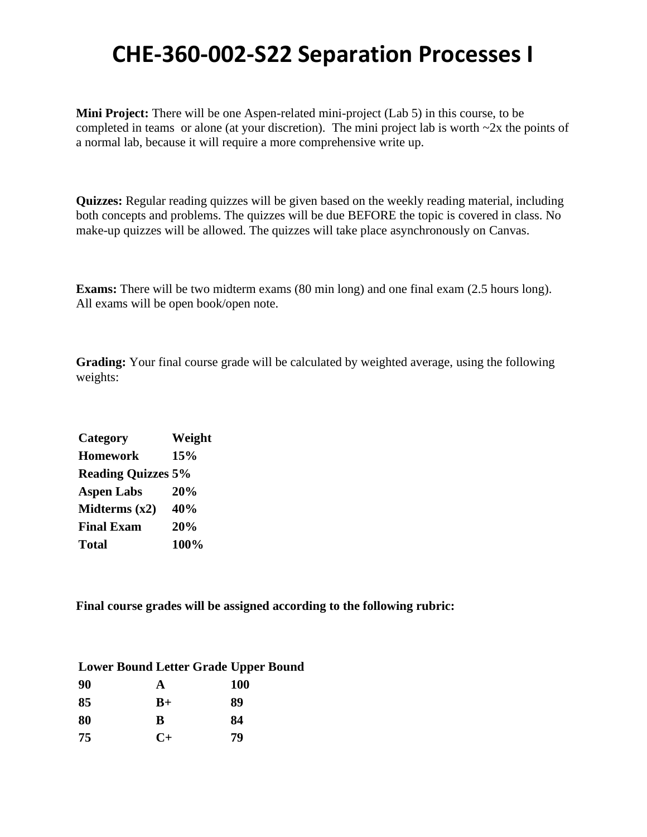**Mini Project:** There will be one Aspen-related mini-project (Lab 5) in this course, to be completed in teams or alone (at your discretion). The mini project lab is worth  $\sim$ 2x the points of a normal lab, because it will require a more comprehensive write up.

**Quizzes:** Regular reading quizzes will be given based on the weekly reading material, including both concepts and problems. The quizzes will be due BEFORE the topic is covered in class. No make-up quizzes will be allowed. The quizzes will take place asynchronously on Canvas.

**Exams:** There will be two midterm exams (80 min long) and one final exam (2.5 hours long). All exams will be open book/open note.

**Grading:** Your final course grade will be calculated by weighted average, using the following weights:

| Category                  | Weight |
|---------------------------|--------|
| <b>Homework</b>           | 15%    |
| <b>Reading Quizzes 5%</b> |        |
| <b>Aspen Labs</b>         | 20%    |
| Midterms $(x2)$           | 40%    |
| <b>Final Exam</b>         | 20%    |
| <b>Total</b>              | 100%   |

**Final course grades will be assigned according to the following rubric:**

| <b>Lower Bound Letter Grade Upper Bound</b> |                |            |
|---------------------------------------------|----------------|------------|
| 90                                          | A              | <b>100</b> |
| 85                                          | $B+$           | 89         |
| 80                                          | B              | 84         |
| 75                                          | $\mathbf{C}^+$ | 79         |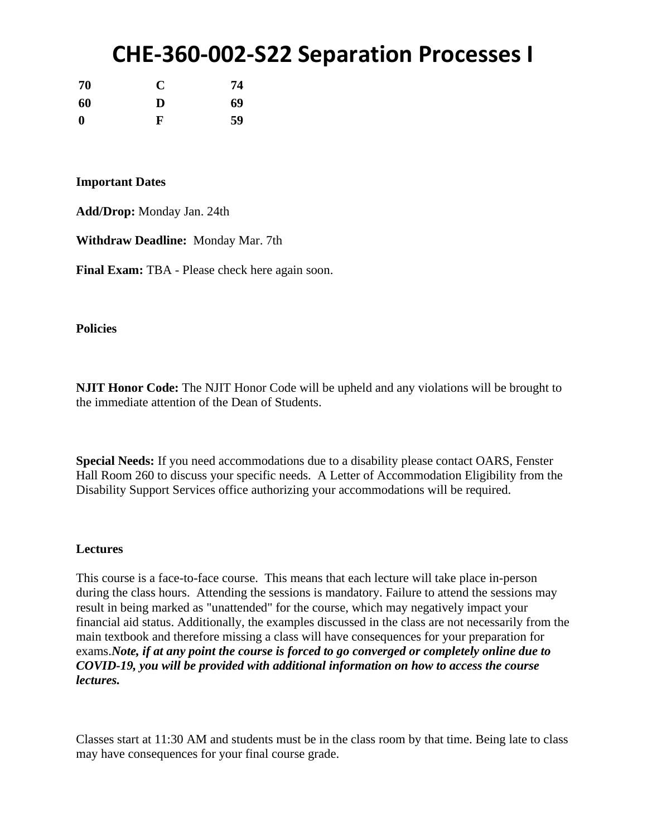| 70       | C | 74 |
|----------|---|----|
| 60       | D | 69 |
| $\bf{0}$ | F | 59 |

#### **Important Dates**

**Add/Drop:** Monday Jan. 24th

**Withdraw Deadline:** Monday Mar. 7th

**Final Exam:** TBA - Please check here again soon.

**Policies**

**NJIT Honor Code:** The NJIT Honor Code will be upheld and any violations will be brought to the immediate attention of the Dean of Students.

**Special Needs:** If you need accommodations due to a disability please contact OARS, Fenster Hall Room 260 to discuss your specific needs. A Letter of Accommodation Eligibility from the Disability Support Services office authorizing your accommodations will be required.

#### **Lectures**

This course is a face-to-face course. This means that each lecture will take place in-person during the class hours. Attending the sessions is mandatory. Failure to attend the sessions may result in being marked as "unattended" for the course, which may negatively impact your financial aid status. Additionally, the examples discussed in the class are not necessarily from the main textbook and therefore missing a class will have consequences for your preparation for exams.*Note, if at any point the course is forced to go converged or completely online due to COVID-19, you will be provided with additional information on how to access the course lectures.*

Classes start at 11:30 AM and students must be in the class room by that time. Being late to class may have consequences for your final course grade.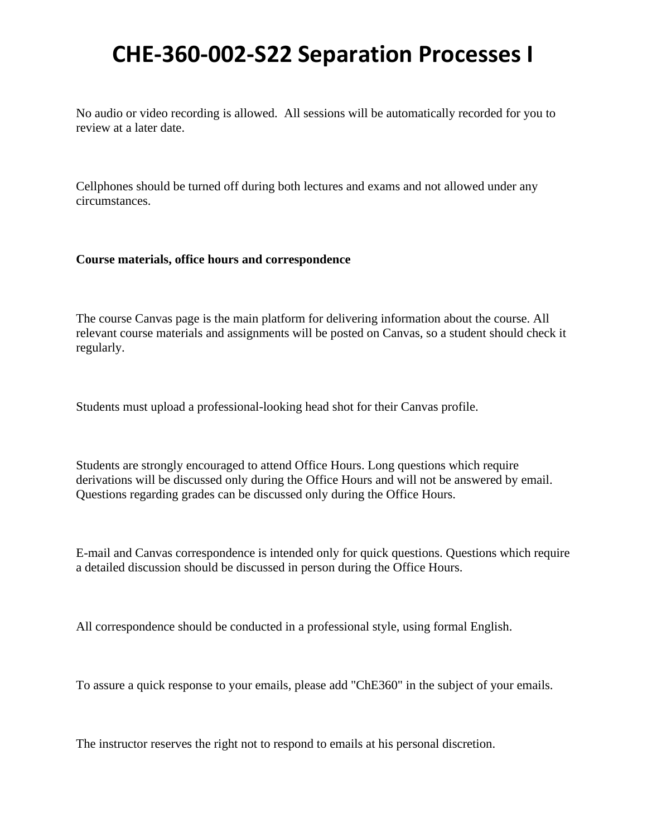No audio or video recording is allowed. All sessions will be automatically recorded for you to review at a later date.

Cellphones should be turned off during both lectures and exams and not allowed under any circumstances.

#### **Course materials, office hours and correspondence**

The course Canvas page is the main platform for delivering information about the course. All relevant course materials and assignments will be posted on Canvas, so a student should check it regularly.

Students must upload a professional-looking head shot for their Canvas profile.

Students are strongly encouraged to attend Office Hours. Long questions which require derivations will be discussed only during the Office Hours and will not be answered by email. Questions regarding grades can be discussed only during the Office Hours.

E-mail and Canvas correspondence is intended only for quick questions. Questions which require a detailed discussion should be discussed in person during the Office Hours.

All correspondence should be conducted in a professional style, using formal English.

To assure a quick response to your emails, please add "ChE360" in the subject of your emails.

The instructor reserves the right not to respond to emails at his personal discretion.